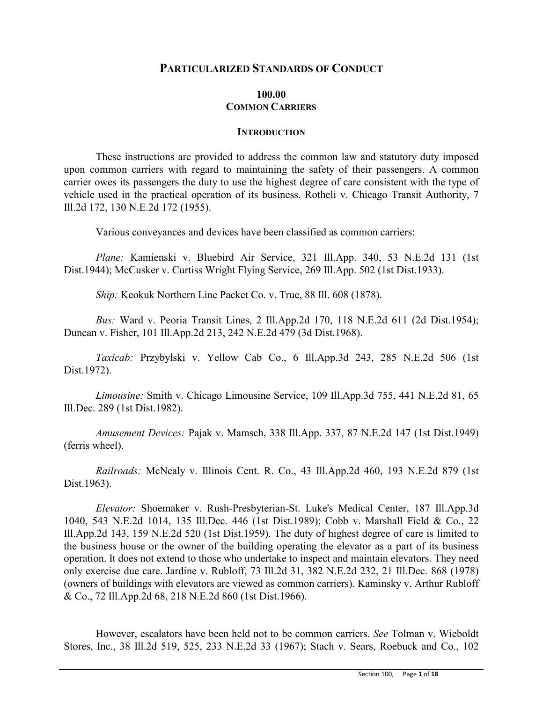# **PARTICULARIZED STANDARDS OF CONDUCT**

## **100.00 COMMON CARRIERS**

#### **INTRODUCTION**

These instructions are provided to address the common law and statutory duty imposed upon common carriers with regard to maintaining the safety of their passengers. A common carrier owes its passengers the duty to use the highest degree of care consistent with the type of vehicle used in the practical operation of its business. Rotheli v. Chicago Transit Authority, 7 Ill.2d 172, 130 N.E.2d 172 (1955).

Various conveyances and devices have been classified as common carriers:

*Plane:* Kamienski v. Bluebird Air Service, 321 Ill.App. 340, 53 N.E.2d 131 (1st Dist.1944); McCusker v. Curtiss Wright Flying Service, 269 Ill.App. 502 (1st Dist.1933).

*Ship:* Keokuk Northern Line Packet Co. v. True, 88 Ill. 608 (1878).

*Bus:* Ward v. Peoria Transit Lines, 2 Ill.App.2d 170, 118 N.E.2d 611 (2d Dist.1954); Duncan v. Fisher, 101 Ill.App.2d 213, 242 N.E.2d 479 (3d Dist.1968).

*Taxicab:* Przybylski v. Yellow Cab Co., 6 Ill.App.3d 243, 285 N.E.2d 506 (1st Dist.1972).

*Limousine:* Smith v. Chicago Limousine Service, 109 Ill.App.3d 755, 441 N.E.2d 81, 65 Ill.Dec. 289 (1st Dist.1982).

*Amusement Devices:* Pajak v. Mamsch, 338 Ill.App. 337, 87 N.E.2d 147 (1st Dist.1949) (ferris wheel).

*Railroads:* McNealy v. Illinois Cent. R. Co., 43 Ill.App.2d 460, 193 N.E.2d 879 (1st Dist.1963).

*Elevator:* Shoemaker v. Rush-Presbyterian-St. Luke's Medical Center, 187 Ill.App.3d 1040, 543 N.E.2d 1014, 135 Ill.Dec. 446 (1st Dist.1989); Cobb v. Marshall Field & Co., 22 Ill.App.2d 143, 159 N.E.2d 520 (1st Dist.1959). The duty of highest degree of care is limited to the business house or the owner of the building operating the elevator as a part of its business operation. It does not extend to those who undertake to inspect and maintain elevators. They need only exercise due care. Jardine v. Rubloff, 73 Ill.2d 31, 382 N.E.2d 232, 21 Ill.Dec. 868 (1978) (owners of buildings with elevators are viewed as common carriers). Kaminsky v. Arthur Rubloff & Co., 72 Ill.App.2d 68, 218 N.E.2d 860 (1st Dist.1966).

However, escalators have been held not to be common carriers. *See* Tolman v. Wieboldt Stores, Inc., 38 Ill.2d 519, 525, 233 N.E.2d 33 (1967); Stach v. Sears, Roebuck and Co., 102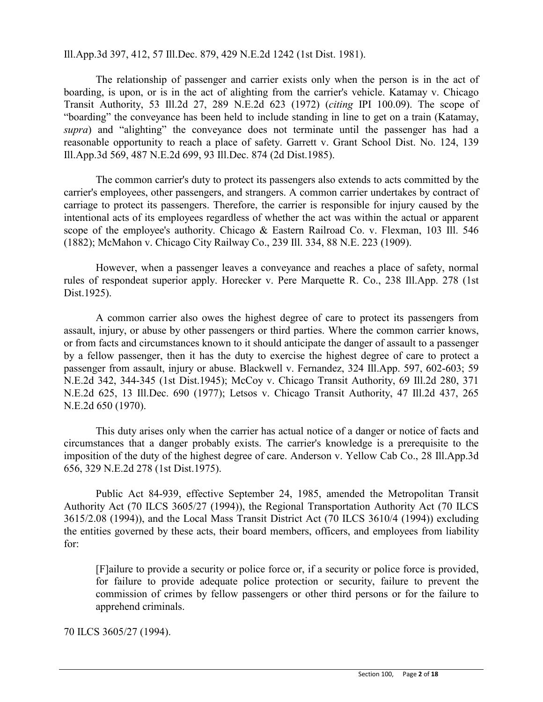Ill.App.3d 397, 412, 57 Ill.Dec. 879, 429 N.E.2d 1242 (1st Dist. 1981).

The relationship of passenger and carrier exists only when the person is in the act of boarding, is upon, or is in the act of alighting from the carrier's vehicle. Katamay v. Chicago Transit Authority, 53 Ill.2d 27, 289 N.E.2d 623 (1972) (*citing* IPI 100.09). The scope of "boarding" the conveyance has been held to include standing in line to get on a train (Katamay, *supra*) and "alighting" the conveyance does not terminate until the passenger has had a reasonable opportunity to reach a place of safety. Garrett v. Grant School Dist. No. 124, 139 Ill.App.3d 569, 487 N.E.2d 699, 93 Ill.Dec. 874 (2d Dist.1985).

The common carrier's duty to protect its passengers also extends to acts committed by the carrier's employees, other passengers, and strangers. A common carrier undertakes by contract of carriage to protect its passengers. Therefore, the carrier is responsible for injury caused by the intentional acts of its employees regardless of whether the act was within the actual or apparent scope of the employee's authority. Chicago & Eastern Railroad Co. v. Flexman, 103 Ill. 546 (1882); McMahon v. Chicago City Railway Co., 239 Ill. 334, 88 N.E. 223 (1909).

However, when a passenger leaves a conveyance and reaches a place of safety, normal rules of respondeat superior apply. Horecker v. Pere Marquette R. Co., 238 Ill.App. 278 (1st Dist.1925).

A common carrier also owes the highest degree of care to protect its passengers from assault, injury, or abuse by other passengers or third parties. Where the common carrier knows, or from facts and circumstances known to it should anticipate the danger of assault to a passenger by a fellow passenger, then it has the duty to exercise the highest degree of care to protect a passenger from assault, injury or abuse. Blackwell v. Fernandez, 324 Ill.App. 597, 602-603; 59 N.E.2d 342, 344-345 (1st Dist.1945); McCoy v. Chicago Transit Authority, 69 Ill.2d 280, 371 N.E.2d 625, 13 Ill.Dec. 690 (1977); Letsos v. Chicago Transit Authority, 47 Ill.2d 437, 265 N.E.2d 650 (1970).

This duty arises only when the carrier has actual notice of a danger or notice of facts and circumstances that a danger probably exists. The carrier's knowledge is a prerequisite to the imposition of the duty of the highest degree of care. Anderson v. Yellow Cab Co., 28 Ill.App.3d 656, 329 N.E.2d 278 (1st Dist.1975).

Public Act 84-939, effective September 24, 1985, amended the Metropolitan Transit Authority Act (70 ILCS 3605/27 (1994)), the Regional Transportation Authority Act (70 ILCS 3615/2.08 (1994)), and the Local Mass Transit District Act (70 ILCS 3610/4 (1994)) excluding the entities governed by these acts, their board members, officers, and employees from liability for:

[F]ailure to provide a security or police force or, if a security or police force is provided, for failure to provide adequate police protection or security, failure to prevent the commission of crimes by fellow passengers or other third persons or for the failure to apprehend criminals.

70 ILCS 3605/27 (1994).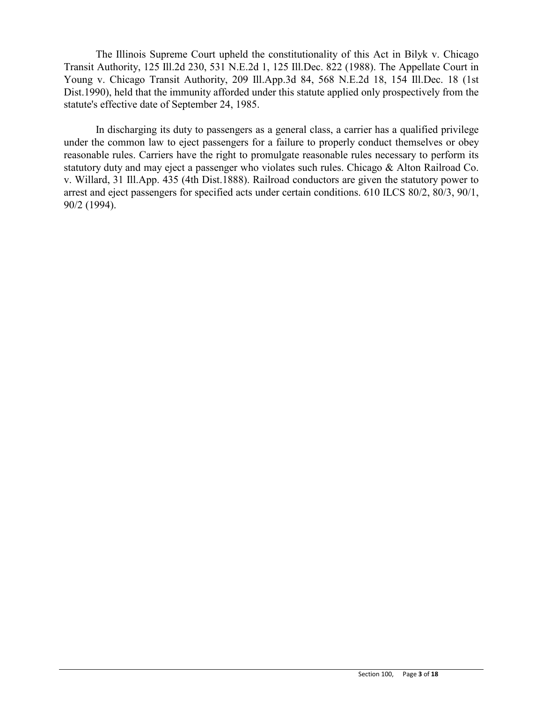The Illinois Supreme Court upheld the constitutionality of this Act in Bilyk v. Chicago Transit Authority, 125 Ill.2d 230, 531 N.E.2d 1, 125 Ill.Dec. 822 (1988). The Appellate Court in Young v. Chicago Transit Authority, 209 Ill.App.3d 84, 568 N.E.2d 18, 154 Ill.Dec. 18 (1st Dist.1990), held that the immunity afforded under this statute applied only prospectively from the statute's effective date of September 24, 1985.

In discharging its duty to passengers as a general class, a carrier has a qualified privilege under the common law to eject passengers for a failure to properly conduct themselves or obey reasonable rules. Carriers have the right to promulgate reasonable rules necessary to perform its statutory duty and may eject a passenger who violates such rules. Chicago & Alton Railroad Co. v. Willard, 31 Ill.App. 435 (4th Dist.1888). Railroad conductors are given the statutory power to arrest and eject passengers for specified acts under certain conditions. 610 ILCS 80/2, 80/3, 90/1, 90/2 (1994).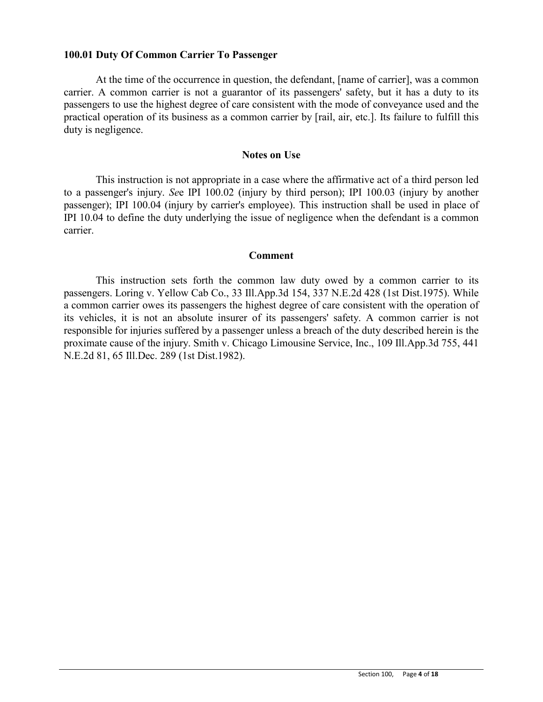## **100.01 Duty Of Common Carrier To Passenger**

At the time of the occurrence in question, the defendant, [name of carrier], was a common carrier. A common carrier is not a guarantor of its passengers' safety, but it has a duty to its passengers to use the highest degree of care consistent with the mode of conveyance used and the practical operation of its business as a common carrier by [rail, air, etc.]. Its failure to fulfill this duty is negligence.

#### **Notes on Use**

This instruction is not appropriate in a case where the affirmative act of a third person led to a passenger's injury. *Se*e IPI 100.02 (injury by third person); IPI 100.03 (injury by another passenger); IPI 100.04 (injury by carrier's employee). This instruction shall be used in place of IPI 10.04 to define the duty underlying the issue of negligence when the defendant is a common carrier.

#### **Comment**

This instruction sets forth the common law duty owed by a common carrier to its passengers. Loring v. Yellow Cab Co., 33 Ill.App.3d 154, 337 N.E.2d 428 (1st Dist.1975). While a common carrier owes its passengers the highest degree of care consistent with the operation of its vehicles, it is not an absolute insurer of its passengers' safety. A common carrier is not responsible for injuries suffered by a passenger unless a breach of the duty described herein is the proximate cause of the injury. Smith v. Chicago Limousine Service, Inc., 109 Ill.App.3d 755, 441 N.E.2d 81, 65 Ill.Dec. 289 (1st Dist.1982).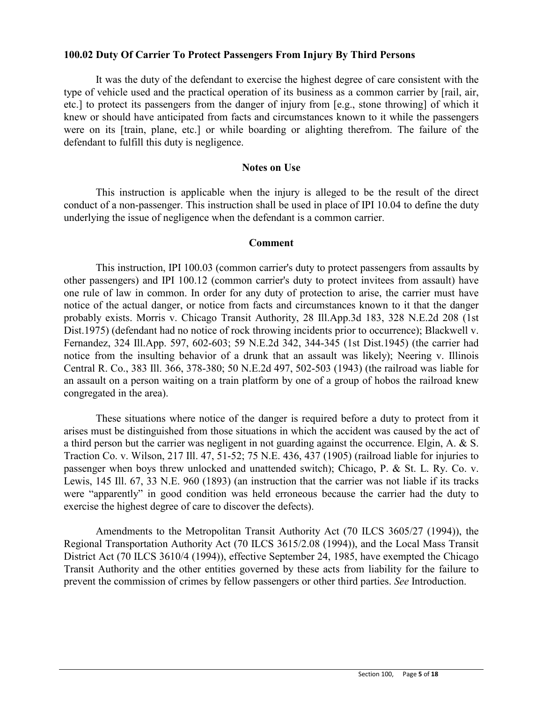## **100.02 Duty Of Carrier To Protect Passengers From Injury By Third Persons**

It was the duty of the defendant to exercise the highest degree of care consistent with the type of vehicle used and the practical operation of its business as a common carrier by [rail, air, etc.] to protect its passengers from the danger of injury from [e.g., stone throwing] of which it knew or should have anticipated from facts and circumstances known to it while the passengers were on its [train, plane, etc.] or while boarding or alighting therefrom. The failure of the defendant to fulfill this duty is negligence.

## **Notes on Use**

This instruction is applicable when the injury is alleged to be the result of the direct conduct of a non-passenger. This instruction shall be used in place of IPI 10.04 to define the duty underlying the issue of negligence when the defendant is a common carrier.

### **Comment**

This instruction, IPI 100.03 (common carrier's duty to protect passengers from assaults by other passengers) and IPI 100.12 (common carrier's duty to protect invitees from assault) have one rule of law in common. In order for any duty of protection to arise, the carrier must have notice of the actual danger, or notice from facts and circumstances known to it that the danger probably exists. Morris v. Chicago Transit Authority, 28 Ill.App.3d 183, 328 N.E.2d 208 (1st Dist.1975) (defendant had no notice of rock throwing incidents prior to occurrence); Blackwell v. Fernandez, 324 Ill.App. 597, 602-603; 59 N.E.2d 342, 344-345 (1st Dist.1945) (the carrier had notice from the insulting behavior of a drunk that an assault was likely); Neering v. Illinois Central R. Co., 383 Ill. 366, 378-380; 50 N.E.2d 497, 502-503 (1943) (the railroad was liable for an assault on a person waiting on a train platform by one of a group of hobos the railroad knew congregated in the area).

These situations where notice of the danger is required before a duty to protect from it arises must be distinguished from those situations in which the accident was caused by the act of a third person but the carrier was negligent in not guarding against the occurrence. Elgin, A. & S. Traction Co. v. Wilson, 217 Ill. 47, 51-52; 75 N.E. 436, 437 (1905) (railroad liable for injuries to passenger when boys threw unlocked and unattended switch); Chicago, P. & St. L. Ry. Co. v. Lewis, 145 Ill. 67, 33 N.E. 960 (1893) (an instruction that the carrier was not liable if its tracks were "apparently" in good condition was held erroneous because the carrier had the duty to exercise the highest degree of care to discover the defects).

Amendments to the Metropolitan Transit Authority Act (70 ILCS 3605/27 (1994)), the Regional Transportation Authority Act (70 ILCS 3615/2.08 (1994)), and the Local Mass Transit District Act (70 ILCS 3610/4 (1994)), effective September 24, 1985, have exempted the Chicago Transit Authority and the other entities governed by these acts from liability for the failure to prevent the commission of crimes by fellow passengers or other third parties. *See* Introduction.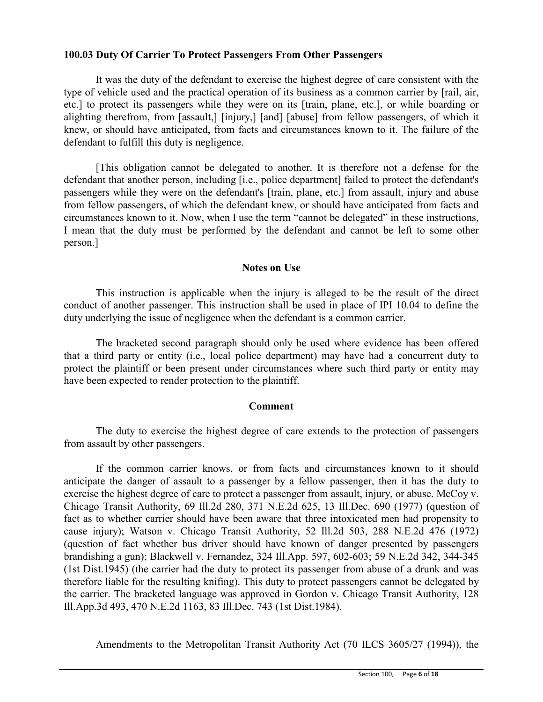## **100.03 Duty Of Carrier To Protect Passengers From Other Passengers**

It was the duty of the defendant to exercise the highest degree of care consistent with the type of vehicle used and the practical operation of its business as a common carrier by [rail, air, etc.] to protect its passengers while they were on its [train, plane, etc.], or while boarding or alighting therefrom, from [assault,] [injury,] [and] [abuse] from fellow passengers, of which it knew, or should have anticipated, from facts and circumstances known to it. The failure of the defendant to fulfill this duty is negligence.

[This obligation cannot be delegated to another. It is therefore not a defense for the defendant that another person, including [i.e., police department] failed to protect the defendant's passengers while they were on the defendant's [train, plane, etc.] from assault, injury and abuse from fellow passengers, of which the defendant knew, or should have anticipated from facts and circumstances known to it. Now, when I use the term "cannot be delegated" in these instructions, I mean that the duty must be performed by the defendant and cannot be left to some other person.]

## **Notes on Use**

This instruction is applicable when the injury is alleged to be the result of the direct conduct of another passenger. This instruction shall be used in place of IPI 10.04 to define the duty underlying the issue of negligence when the defendant is a common carrier.

The bracketed second paragraph should only be used where evidence has been offered that a third party or entity (i.e., local police department) may have had a concurrent duty to protect the plaintiff or been present under circumstances where such third party or entity may have been expected to render protection to the plaintiff.

# **Comment**

The duty to exercise the highest degree of care extends to the protection of passengers from assault by other passengers.

If the common carrier knows, or from facts and circumstances known to it should anticipate the danger of assault to a passenger by a fellow passenger, then it has the duty to exercise the highest degree of care to protect a passenger from assault, injury, or abuse. McCoy v. Chicago Transit Authority, 69 Ill.2d 280, 371 N.E.2d 625, 13 Ill.Dec. 690 (1977) (question of fact as to whether carrier should have been aware that three intoxicated men had propensity to cause injury); Watson v. Chicago Transit Authority, 52 Ill.2d 503, 288 N.E.2d 476 (1972) (question of fact whether bus driver should have known of danger presented by passengers brandishing a gun); Blackwell v. Fernandez, 324 Ill.App. 597, 602-603; 59 N.E.2d 342, 344-345 (1st Dist.1945) (the carrier had the duty to protect its passenger from abuse of a drunk and was therefore liable for the resulting knifing). This duty to protect passengers cannot be delegated by the carrier. The bracketed language was approved in Gordon v. Chicago Transit Authority, 128 Ill.App.3d 493, 470 N.E.2d 1163, 83 Ill.Dec. 743 (1st Dist.1984).

Amendments to the Metropolitan Transit Authority Act (70 ILCS 3605/27 (1994)), the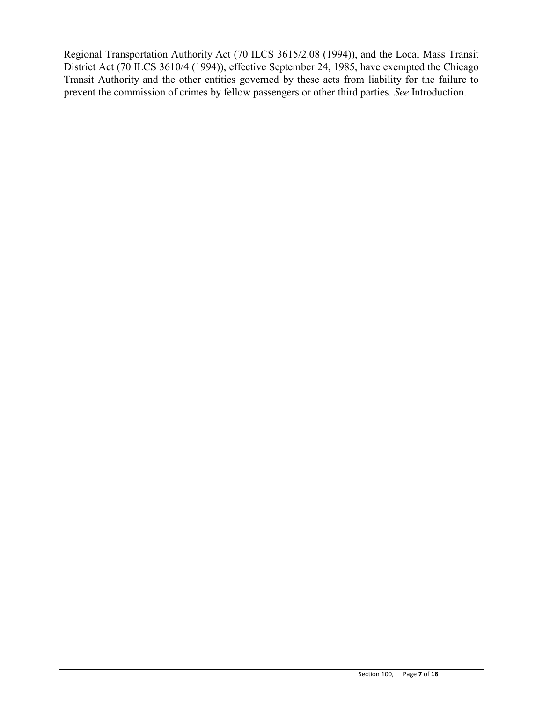Regional Transportation Authority Act (70 ILCS 3615/2.08 (1994)), and the Local Mass Transit District Act (70 ILCS 3610/4 (1994)), effective September 24, 1985, have exempted the Chicago Transit Authority and the other entities governed by these acts from liability for the failure to prevent the commission of crimes by fellow passengers or other third parties. *See* Introduction.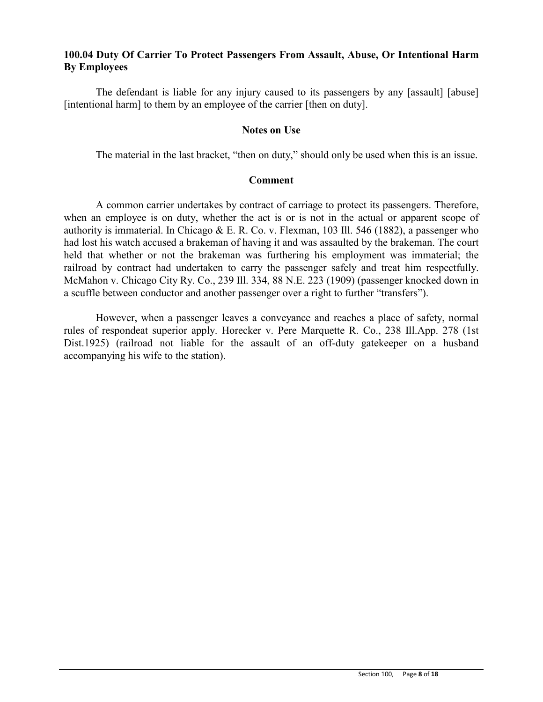# **100.04 Duty Of Carrier To Protect Passengers From Assault, Abuse, Or Intentional Harm By Employees**

The defendant is liable for any injury caused to its passengers by any [assault] [abuse] [intentional harm] to them by an employee of the carrier [then on duty].

## **Notes on Use**

The material in the last bracket, "then on duty," should only be used when this is an issue.

### **Comment**

A common carrier undertakes by contract of carriage to protect its passengers. Therefore, when an employee is on duty, whether the act is or is not in the actual or apparent scope of authority is immaterial. In Chicago & E. R. Co. v. Flexman, 103 Ill. 546 (1882), a passenger who had lost his watch accused a brakeman of having it and was assaulted by the brakeman. The court held that whether or not the brakeman was furthering his employment was immaterial; the railroad by contract had undertaken to carry the passenger safely and treat him respectfully. McMahon v. Chicago City Ry. Co., 239 Ill. 334, 88 N.E. 223 (1909) (passenger knocked down in a scuffle between conductor and another passenger over a right to further "transfers").

However, when a passenger leaves a conveyance and reaches a place of safety, normal rules of respondeat superior apply. Horecker v. Pere Marquette R. Co., 238 Ill.App. 278 (1st Dist.1925) (railroad not liable for the assault of an off-duty gatekeeper on a husband accompanying his wife to the station).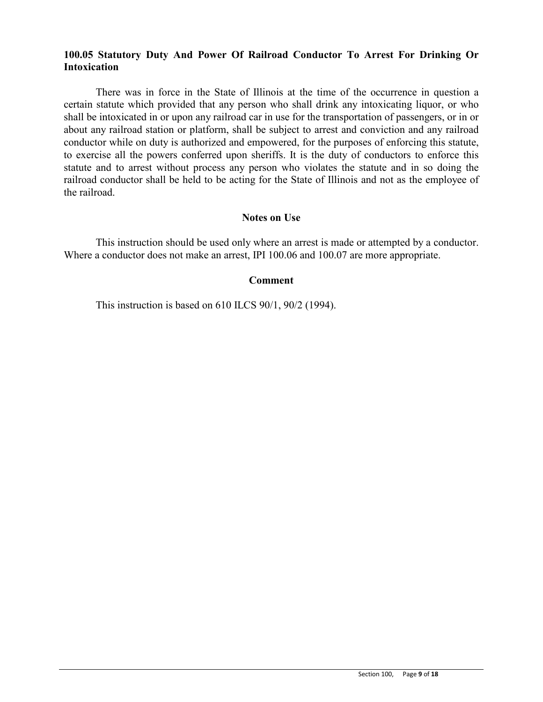# **100.05 Statutory Duty And Power Of Railroad Conductor To Arrest For Drinking Or Intoxication**

There was in force in the State of Illinois at the time of the occurrence in question a certain statute which provided that any person who shall drink any intoxicating liquor, or who shall be intoxicated in or upon any railroad car in use for the transportation of passengers, or in or about any railroad station or platform, shall be subject to arrest and conviction and any railroad conductor while on duty is authorized and empowered, for the purposes of enforcing this statute, to exercise all the powers conferred upon sheriffs. It is the duty of conductors to enforce this statute and to arrest without process any person who violates the statute and in so doing the railroad conductor shall be held to be acting for the State of Illinois and not as the employee of the railroad.

## **Notes on Use**

This instruction should be used only where an arrest is made or attempted by a conductor. Where a conductor does not make an arrest, IPI 100.06 and 100.07 are more appropriate.

### **Comment**

This instruction is based on 610 ILCS 90/1, 90/2 (1994).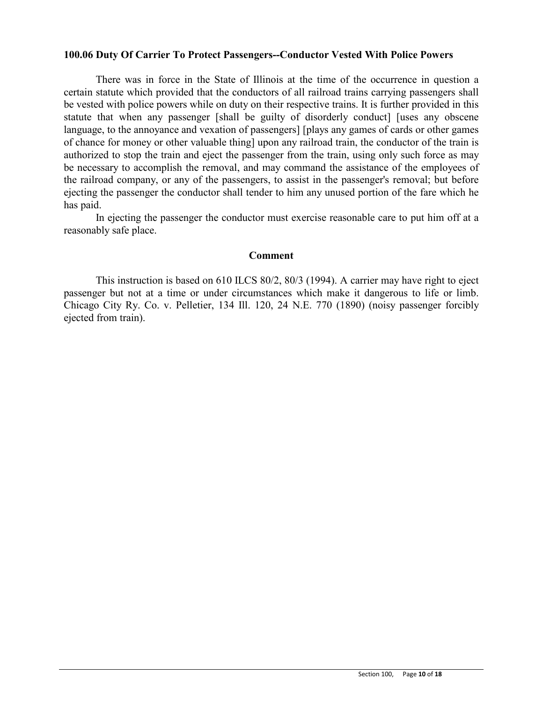### **100.06 Duty Of Carrier To Protect Passengers--Conductor Vested With Police Powers**

There was in force in the State of Illinois at the time of the occurrence in question a certain statute which provided that the conductors of all railroad trains carrying passengers shall be vested with police powers while on duty on their respective trains. It is further provided in this statute that when any passenger [shall be guilty of disorderly conduct] [uses any obscene language, to the annoyance and vexation of passengers] [plays any games of cards or other games of chance for money or other valuable thing] upon any railroad train, the conductor of the train is authorized to stop the train and eject the passenger from the train, using only such force as may be necessary to accomplish the removal, and may command the assistance of the employees of the railroad company, or any of the passengers, to assist in the passenger's removal; but before ejecting the passenger the conductor shall tender to him any unused portion of the fare which he has paid.

In ejecting the passenger the conductor must exercise reasonable care to put him off at a reasonably safe place.

#### **Comment**

This instruction is based on 610 ILCS 80/2, 80/3 (1994). A carrier may have right to eject passenger but not at a time or under circumstances which make it dangerous to life or limb. Chicago City Ry. Co. v. Pelletier, 134 Ill. 120, 24 N.E. 770 (1890) (noisy passenger forcibly ejected from train).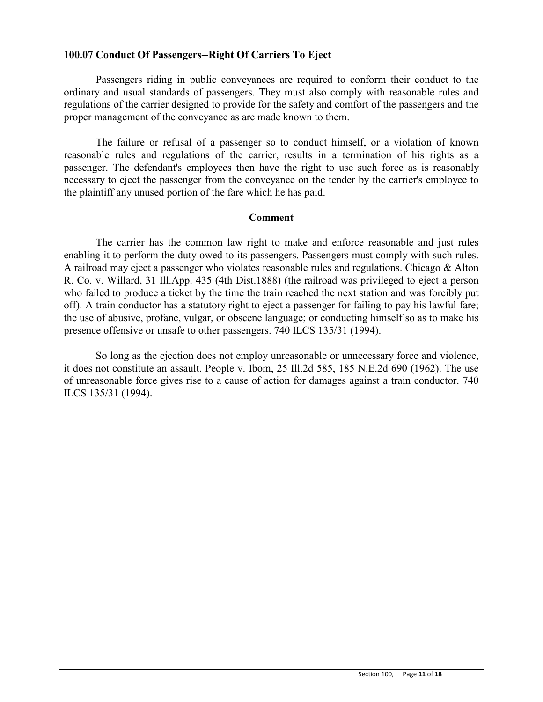# **100.07 Conduct Of Passengers--Right Of Carriers To Eject**

Passengers riding in public conveyances are required to conform their conduct to the ordinary and usual standards of passengers. They must also comply with reasonable rules and regulations of the carrier designed to provide for the safety and comfort of the passengers and the proper management of the conveyance as are made known to them.

The failure or refusal of a passenger so to conduct himself, or a violation of known reasonable rules and regulations of the carrier, results in a termination of his rights as a passenger. The defendant's employees then have the right to use such force as is reasonably necessary to eject the passenger from the conveyance on the tender by the carrier's employee to the plaintiff any unused portion of the fare which he has paid.

### **Comment**

The carrier has the common law right to make and enforce reasonable and just rules enabling it to perform the duty owed to its passengers. Passengers must comply with such rules. A railroad may eject a passenger who violates reasonable rules and regulations. Chicago & Alton R. Co. v. Willard, 31 Ill.App. 435 (4th Dist.1888) (the railroad was privileged to eject a person who failed to produce a ticket by the time the train reached the next station and was forcibly put off). A train conductor has a statutory right to eject a passenger for failing to pay his lawful fare; the use of abusive, profane, vulgar, or obscene language; or conducting himself so as to make his presence offensive or unsafe to other passengers. 740 ILCS 135/31 (1994).

So long as the ejection does not employ unreasonable or unnecessary force and violence, it does not constitute an assault. People v. Ibom, 25 Ill.2d 585, 185 N.E.2d 690 (1962). The use of unreasonable force gives rise to a cause of action for damages against a train conductor. 740 ILCS 135/31 (1994).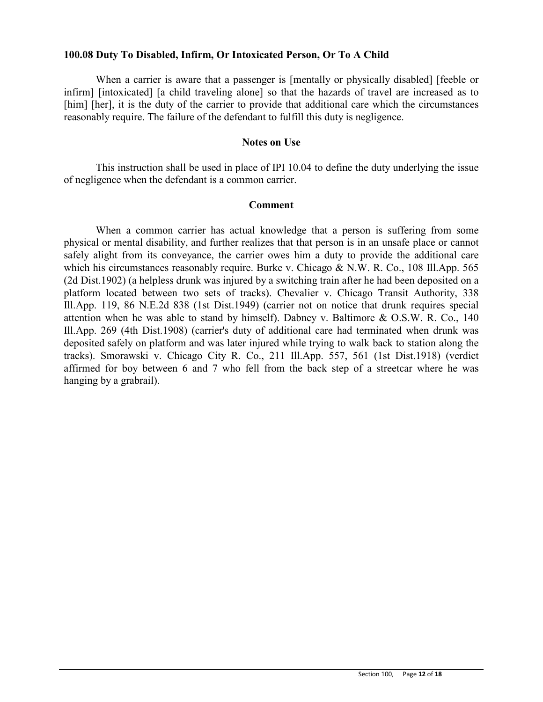## **100.08 Duty To Disabled, Infirm, Or Intoxicated Person, Or To A Child**

When a carrier is aware that a passenger is [mentally or physically disabled] [feeble or infirm] [intoxicated] [a child traveling alone] so that the hazards of travel are increased as to [him] [her], it is the duty of the carrier to provide that additional care which the circumstances reasonably require. The failure of the defendant to fulfill this duty is negligence.

#### **Notes on Use**

This instruction shall be used in place of IPI 10.04 to define the duty underlying the issue of negligence when the defendant is a common carrier.

### **Comment**

When a common carrier has actual knowledge that a person is suffering from some physical or mental disability, and further realizes that that person is in an unsafe place or cannot safely alight from its conveyance, the carrier owes him a duty to provide the additional care which his circumstances reasonably require. Burke v. Chicago & N.W. R. Co., 108 Ill.App. 565 (2d Dist.1902) (a helpless drunk was injured by a switching train after he had been deposited on a platform located between two sets of tracks). Chevalier v. Chicago Transit Authority, 338 Ill.App. 119, 86 N.E.2d 838 (1st Dist.1949) (carrier not on notice that drunk requires special attention when he was able to stand by himself). Dabney v. Baltimore & O.S.W. R. Co., 140 Ill.App. 269 (4th Dist.1908) (carrier's duty of additional care had terminated when drunk was deposited safely on platform and was later injured while trying to walk back to station along the tracks). Smorawski v. Chicago City R. Co., 211 Ill.App. 557, 561 (1st Dist.1918) (verdict affirmed for boy between 6 and 7 who fell from the back step of a streetcar where he was hanging by a grabrail).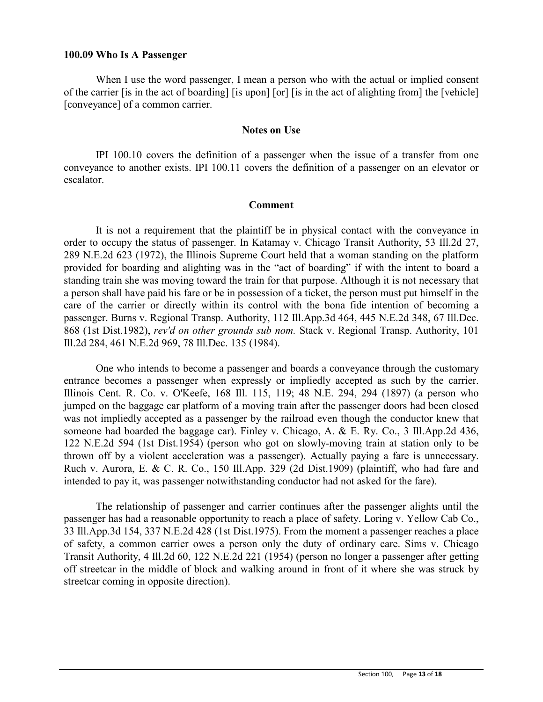#### **100.09 Who Is A Passenger**

When I use the word passenger, I mean a person who with the actual or implied consent of the carrier [is in the act of boarding] [is upon] [or] [is in the act of alighting from] the [vehicle] [conveyance] of a common carrier.

#### **Notes on Use**

IPI 100.10 covers the definition of a passenger when the issue of a transfer from one conveyance to another exists. IPI 100.11 covers the definition of a passenger on an elevator or escalator.

#### **Comment**

It is not a requirement that the plaintiff be in physical contact with the conveyance in order to occupy the status of passenger. In Katamay v. Chicago Transit Authority, 53 Ill.2d 27, 289 N.E.2d 623 (1972), the Illinois Supreme Court held that a woman standing on the platform provided for boarding and alighting was in the "act of boarding" if with the intent to board a standing train she was moving toward the train for that purpose. Although it is not necessary that a person shall have paid his fare or be in possession of a ticket, the person must put himself in the care of the carrier or directly within its control with the bona fide intention of becoming a passenger. Burns v. Regional Transp. Authority, 112 Ill.App.3d 464, 445 N.E.2d 348, 67 Ill.Dec. 868 (1st Dist.1982), *rev'd on other grounds sub nom.* Stack v. Regional Transp. Authority, 101 Ill.2d 284, 461 N.E.2d 969, 78 Ill.Dec. 135 (1984).

One who intends to become a passenger and boards a conveyance through the customary entrance becomes a passenger when expressly or impliedly accepted as such by the carrier. Illinois Cent. R. Co. v. O'Keefe, 168 Ill. 115, 119; 48 N.E. 294, 294 (1897) (a person who jumped on the baggage car platform of a moving train after the passenger doors had been closed was not impliedly accepted as a passenger by the railroad even though the conductor knew that someone had boarded the baggage car). Finley v. Chicago, A. & E. Ry. Co., 3 Ill.App.2d 436, 122 N.E.2d 594 (1st Dist.1954) (person who got on slowly-moving train at station only to be thrown off by a violent acceleration was a passenger). Actually paying a fare is unnecessary. Ruch v. Aurora, E. & C. R. Co., 150 Ill.App. 329 (2d Dist.1909) (plaintiff, who had fare and intended to pay it, was passenger notwithstanding conductor had not asked for the fare).

The relationship of passenger and carrier continues after the passenger alights until the passenger has had a reasonable opportunity to reach a place of safety. Loring v. Yellow Cab Co., 33 Ill.App.3d 154, 337 N.E.2d 428 (1st Dist.1975). From the moment a passenger reaches a place of safety, a common carrier owes a person only the duty of ordinary care. Sims v. Chicago Transit Authority, 4 Ill.2d 60, 122 N.E.2d 221 (1954) (person no longer a passenger after getting off streetcar in the middle of block and walking around in front of it where she was struck by streetcar coming in opposite direction).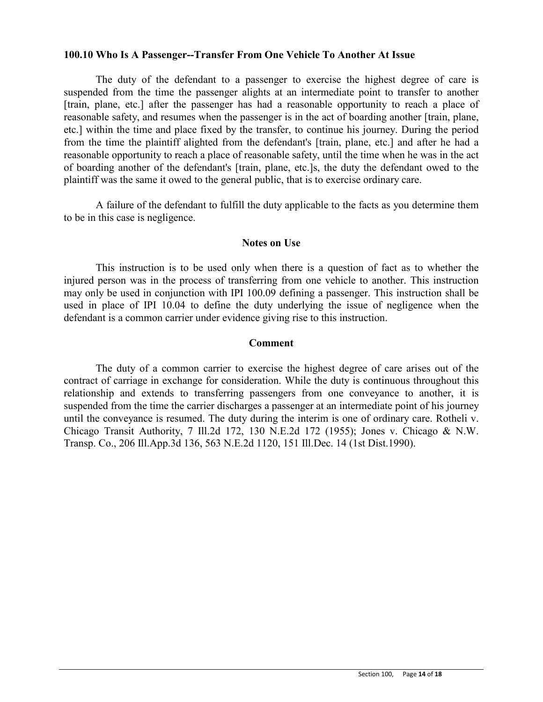### **100.10 Who Is A Passenger--Transfer From One Vehicle To Another At Issue**

The duty of the defendant to a passenger to exercise the highest degree of care is suspended from the time the passenger alights at an intermediate point to transfer to another [train, plane, etc.] after the passenger has had a reasonable opportunity to reach a place of reasonable safety, and resumes when the passenger is in the act of boarding another [train, plane, etc.] within the time and place fixed by the transfer, to continue his journey. During the period from the time the plaintiff alighted from the defendant's [train, plane, etc.] and after he had a reasonable opportunity to reach a place of reasonable safety, until the time when he was in the act of boarding another of the defendant's [train, plane, etc.]s, the duty the defendant owed to the plaintiff was the same it owed to the general public, that is to exercise ordinary care.

A failure of the defendant to fulfill the duty applicable to the facts as you determine them to be in this case is negligence.

## **Notes on Use**

This instruction is to be used only when there is a question of fact as to whether the injured person was in the process of transferring from one vehicle to another. This instruction may only be used in conjunction with IPI 100.09 defining a passenger. This instruction shall be used in place of IPI 10.04 to define the duty underlying the issue of negligence when the defendant is a common carrier under evidence giving rise to this instruction.

### **Comment**

The duty of a common carrier to exercise the highest degree of care arises out of the contract of carriage in exchange for consideration. While the duty is continuous throughout this relationship and extends to transferring passengers from one conveyance to another, it is suspended from the time the carrier discharges a passenger at an intermediate point of his journey until the conveyance is resumed. The duty during the interim is one of ordinary care. Rotheli v. Chicago Transit Authority, 7 Ill.2d 172, 130 N.E.2d 172 (1955); Jones v. Chicago & N.W. Transp. Co., 206 Ill.App.3d 136, 563 N.E.2d 1120, 151 Ill.Dec. 14 (1st Dist.1990).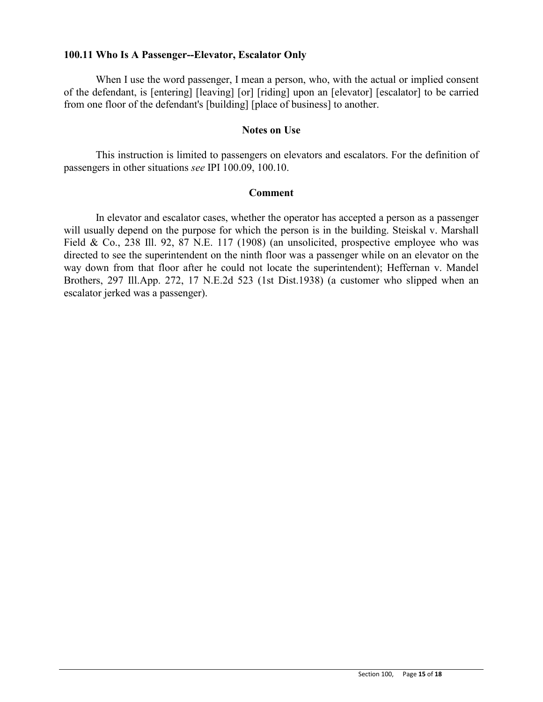## **100.11 Who Is A Passenger--Elevator, Escalator Only**

When I use the word passenger, I mean a person, who, with the actual or implied consent of the defendant, is [entering] [leaving] [or] [riding] upon an [elevator] [escalator] to be carried from one floor of the defendant's [building] [place of business] to another.

## **Notes on Use**

This instruction is limited to passengers on elevators and escalators. For the definition of passengers in other situations *see* IPI 100.09, 100.10.

### **Comment**

In elevator and escalator cases, whether the operator has accepted a person as a passenger will usually depend on the purpose for which the person is in the building. Steiskal v. Marshall Field & Co., 238 Ill. 92, 87 N.E. 117 (1908) (an unsolicited, prospective employee who was directed to see the superintendent on the ninth floor was a passenger while on an elevator on the way down from that floor after he could not locate the superintendent); Heffernan v. Mandel Brothers, 297 Ill.App. 272, 17 N.E.2d 523 (1st Dist.1938) (a customer who slipped when an escalator jerked was a passenger).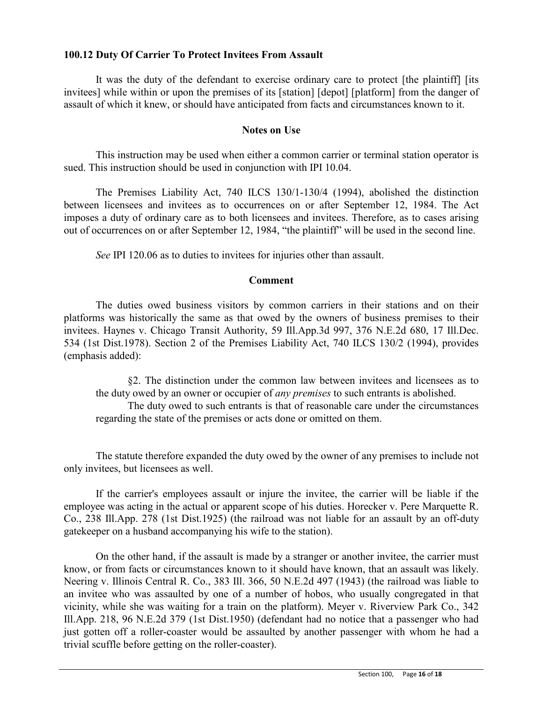# **100.12 Duty Of Carrier To Protect Invitees From Assault**

It was the duty of the defendant to exercise ordinary care to protect [the plaintiff] [its invitees] while within or upon the premises of its [station] [depot] [platform] from the danger of assault of which it knew, or should have anticipated from facts and circumstances known to it.

# **Notes on Use**

This instruction may be used when either a common carrier or terminal station operator is sued. This instruction should be used in conjunction with IPI 10.04.

The Premises Liability Act, 740 ILCS 130/1-130/4 (1994), abolished the distinction between licensees and invitees as to occurrences on or after September 12, 1984. The Act imposes a duty of ordinary care as to both licensees and invitees. Therefore, as to cases arising out of occurrences on or after September 12, 1984, "the plaintiff" will be used in the second line.

*See* IPI 120.06 as to duties to invitees for injuries other than assault.

## **Comment**

The duties owed business visitors by common carriers in their stations and on their platforms was historically the same as that owed by the owners of business premises to their invitees. Haynes v. Chicago Transit Authority, 59 Ill.App.3d 997, 376 N.E.2d 680, 17 Ill.Dec. 534 (1st Dist.1978). Section 2 of the Premises Liability Act, 740 ILCS 130/2 (1994), provides (emphasis added):

§2. The distinction under the common law between invitees and licensees as to the duty owed by an owner or occupier of *any premises* to such entrants is abolished. The duty owed to such entrants is that of reasonable care under the circumstances regarding the state of the premises or acts done or omitted on them.

The statute therefore expanded the duty owed by the owner of any premises to include not only invitees, but licensees as well.

If the carrier's employees assault or injure the invitee, the carrier will be liable if the employee was acting in the actual or apparent scope of his duties. Horecker v. Pere Marquette R. Co., 238 Ill.App. 278 (1st Dist.1925) (the railroad was not liable for an assault by an off-duty gatekeeper on a husband accompanying his wife to the station).

On the other hand, if the assault is made by a stranger or another invitee, the carrier must know, or from facts or circumstances known to it should have known, that an assault was likely. Neering v. Illinois Central R. Co., 383 Ill. 366, 50 N.E.2d 497 (1943) (the railroad was liable to an invitee who was assaulted by one of a number of hobos, who usually congregated in that vicinity, while she was waiting for a train on the platform). Meyer v. Riverview Park Co., 342 Ill.App. 218, 96 N.E.2d 379 (1st Dist.1950) (defendant had no notice that a passenger who had just gotten off a roller-coaster would be assaulted by another passenger with whom he had a trivial scuffle before getting on the roller-coaster).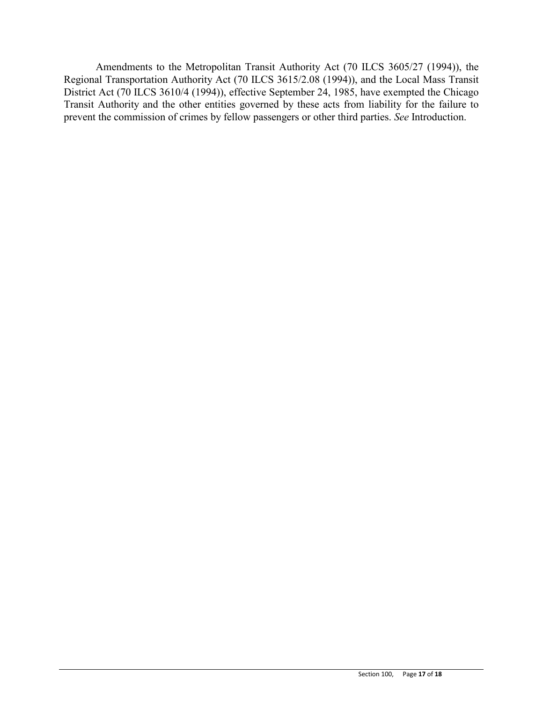Amendments to the Metropolitan Transit Authority Act (70 ILCS 3605/27 (1994)), the Regional Transportation Authority Act (70 ILCS 3615/2.08 (1994)), and the Local Mass Transit District Act (70 ILCS 3610/4 (1994)), effective September 24, 1985, have exempted the Chicago Transit Authority and the other entities governed by these acts from liability for the failure to prevent the commission of crimes by fellow passengers or other third parties. *See* Introduction.